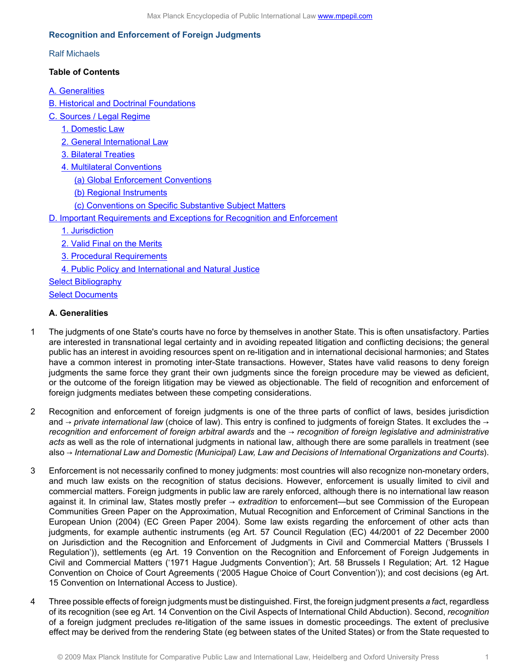# **Recognition and Enforcement of Foreign Judgments**

### Ralf Michaels

# **Table of Contents**

[A. Generalities](#page-0-0)

[B. Historical and Doctrinal Foundations](#page-1-0)

- [C. Sources / Legal Regime](#page-2-0)
	- [1. Domestic Law](#page-2-1)
	- [2. General International Law](#page-2-2)
	- [3. Bilateral Treaties](#page-3-0)
	- [4. Multilateral Conventions](#page-3-1)
		- [\(a\) Global Enforcement Conventions](#page-3-2)
		- [\(b\) Regional Instruments](#page-3-3)
		- [\(c\) Conventions on Specific Substantive Subject Matters](#page-4-0)
- [D. Important Requirements and Exceptions for Recognition and Enforcement](#page-5-0)
	- [1. Jurisdiction](#page-5-1)
	- [2. Valid Final on the Merits](#page-6-0)
	- [3. Procedural Requirements](#page-6-1)
	- [4. Public Policy and International and Natural Justice](#page-6-2)
- [Select Bibliography](#page-7-0)

**[Select Documents](#page-8-0)** 

## <span id="page-0-0"></span>**A. Generalities**

- 1 The judgments of one State's courts have no force by themselves in another State. This is often unsatisfactory. Parties are interested in transnational legal certainty and in avoiding repeated litigation and conflicting decisions; the general public has an interest in avoiding resources spent on re-litigation and in international decisional harmonies; and States have a common interest in promoting inter-State transactions. However, States have valid reasons to deny foreign judgments the same force they grant their own judgments since the foreign procedure may be viewed as deficient, or the outcome of the foreign litigation may be viewed as objectionable. The field of recognition and enforcement of foreign judgments mediates between these competing considerations.
- 2 Recognition and enforcement of foreign judgments is one of the three parts of conflict of laws, besides jurisdiction and → *private international law* (choice of law). This entry is confined to judgments of foreign States. It excludes the → *recognition and enforcement of foreign arbitral awards* and the → *recognition of foreign legislative and administrative acts* as well as the role of international judgments in national law, although there are some parallels in treatment (see also → *International Law and Domestic (Municipal) Law, Law and Decisions of International Organizations and Courts*).
- 3 Enforcement is not necessarily confined to money judgments: most countries will also recognize non-monetary orders, and much law exists on the recognition of status decisions. However, enforcement is usually limited to civil and commercial matters. Foreign judgments in public law are rarely enforced, although there is no international law reason against it. In criminal law, States mostly prefer → *extradition* to enforcement—but see Commission of the European Communities Green Paper on the Approximation, Mutual Recognition and Enforcement of Criminal Sanctions in the European Union (2004) (EC Green Paper 2004). Some law exists regarding the enforcement of other acts than judgments, for example authentic instruments (eg Art. 57 Council Regulation (EC) 44/2001 of 22 December 2000 on Jurisdiction and the Recognition and Enforcement of Judgments in Civil and Commercial Matters ('Brussels I Regulation')), settlements (eg Art. 19 Convention on the Recognition and Enforcement of Foreign Judgements in Civil and Commercial Matters ('1971 Hague Judgments Convention'); Art. 58 Brussels I Regulation; Art. 12 Hague Convention on Choice of Court Agreements ('2005 Hague Choice of Court Convention')); and cost decisions (eg Art. 15 Convention on International Access to Justice).
- 4 Three possible effects of foreign judgments must be distinguished. First, the foreign judgment presents *a fac*t, regardless of its recognition (see eg Art. 14 Convention on the Civil Aspects of International Child Abduction). Second, *recognition* of a foreign judgment precludes re-litigation of the same issues in domestic proceedings. The extent of preclusive effect may be derived from the rendering State (eg between states of the United States) or from the State requested to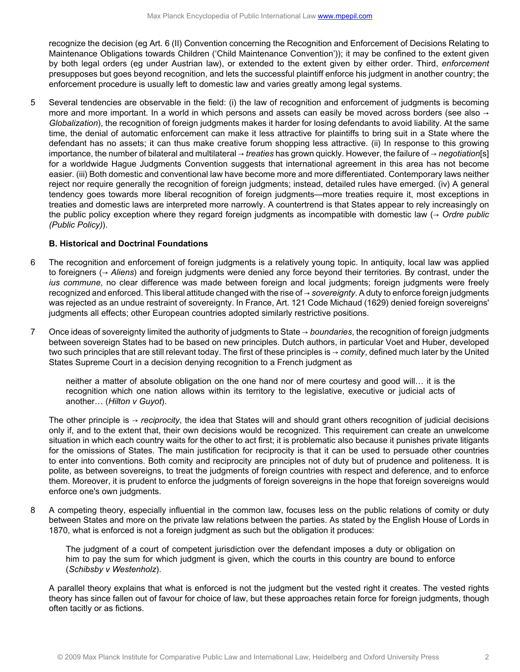recognize the decision (eg Art. 6 (II) Convention concerning the Recognition and Enforcement of Decisions Relating to Maintenance Obligations towards Children ('Child Maintenance Convention')); it may be confined to the extent given by both legal orders (eg under Austrian law), or extended to the extent given by either order. Third, *enforcement* presupposes but goes beyond recognition, and lets the successful plaintiff enforce his judgment in another country; the enforcement procedure is usually left to domestic law and varies greatly among legal systems.

5 Several tendencies are observable in the field: (i) the law of recognition and enforcement of judgments is becoming more and more important. In a world in which persons and assets can easily be moved across borders (see also  $\rightarrow$ *Globalization*), the recognition of foreign judgments makes it harder for losing defendants to avoid liability. At the same time, the denial of automatic enforcement can make it less attractive for plaintiffs to bring suit in a State where the defendant has no assets; it can thus make creative forum shopping less attractive. (ii) In response to this growing importance, the number of bilateral and multilateral → *treaties* has grown quickly. However, the failure of → *negotiation*[s] for a worldwide Hague Judgments Convention suggests that international agreement in this area has not become easier. (iii) Both domestic and conventional law have become more and more differentiated. Contemporary laws neither reject nor require generally the recognition of foreign judgments; instead, detailed rules have emerged. (iv) A general tendency goes towards more liberal recognition of foreign judgments—more treaties require it, most exceptions in treaties and domestic laws are interpreted more narrowly. A countertrend is that States appear to rely increasingly on the public policy exception where they regard foreign judgments as incompatible with domestic law (→ *Ordre public (Public Policy)*).

## <span id="page-1-0"></span>**B. Historical and Doctrinal Foundations**

- 6 The recognition and enforcement of foreign judgments is a relatively young topic. In antiquity, local law was applied to foreigners (→ *Aliens*) and foreign judgments were denied any force beyond their territories. By contrast, under the *ius commune*, no clear difference was made between foreign and local judgments; foreign judgments were freely recognized and enforced. This liberal attitude changed with the rise of → *sovereignty*. A duty to enforce foreign judgments was rejected as an undue restraint of sovereignty. In France, Art. 121 Code Michaud (1629) denied foreign sovereigns' judgments all effects; other European countries adopted similarly restrictive positions.
- 7 Once ideas of sovereignty limited the authority of judgments to State → *boundaries*, the recognition of foreign judgments between sovereign States had to be based on new principles. Dutch authors, in particular Voet and Huber, developed two such principles that are still relevant today. The first of these principles is → *comity*, defined much later by the United States Supreme Court in a decision denying recognition to a French judgment as

neither a matter of absolute obligation on the one hand nor of mere courtesy and good will… it is the recognition which one nation allows within its territory to the legislative, executive or judicial acts of another… (*Hilton v Guyot*).

The other principle is → *reciprocity*, the idea that States will and should grant others recognition of judicial decisions only if, and to the extent that, their own decisions would be recognized. This requirement can create an unwelcome situation in which each country waits for the other to act first; it is problematic also because it punishes private litigants for the omissions of States. The main justification for reciprocity is that it can be used to persuade other countries to enter into conventions. Both comity and reciprocity are principles not of duty but of prudence and politeness. It is polite, as between sovereigns, to treat the judgments of foreign countries with respect and deference, and to enforce them. Moreover, it is prudent to enforce the judgments of foreign sovereigns in the hope that foreign sovereigns would enforce one's own judgments.

8 A competing theory, especially influential in the common law, focuses less on the public relations of comity or duty between States and more on the private law relations between the parties. As stated by the English House of Lords in 1870, what is enforced is not a foreign judgment as such but the obligation it produces:

The judgment of a court of competent jurisdiction over the defendant imposes a duty or obligation on him to pay the sum for which judgment is given, which the courts in this country are bound to enforce (*Schibsby v Westenholz*).

A parallel theory explains that what is enforced is not the judgment but the vested right it creates. The vested rights theory has since fallen out of favour for choice of law, but these approaches retain force for foreign judgments, though often tacitly or as fictions.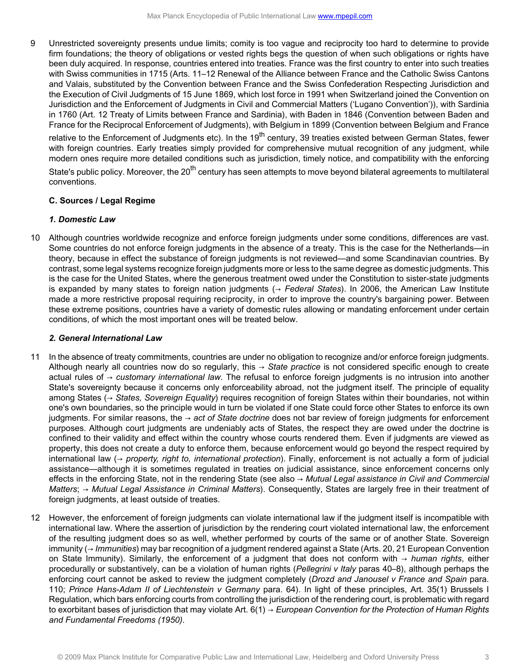9 Unrestricted sovereignty presents undue limits; comity is too vague and reciprocity too hard to determine to provide firm foundations; the theory of obligations or vested rights begs the question of when such obligations or rights have been duly acquired. In response, countries entered into treaties. France was the first country to enter into such treaties with Swiss communities in 1715 (Arts. 11–12 Renewal of the Alliance between France and the Catholic Swiss Cantons and Valais, substituted by the Convention between France and the Swiss Confederation Respecting Jurisdiction and the Execution of Civil Judgments of 15 June 1869, which lost force in 1991 when Switzerland joined the Convention on Jurisdiction and the Enforcement of Judgments in Civil and Commercial Matters ('Lugano Convention')), with Sardinia in 1760 (Art. 12 Treaty of Limits between France and Sardinia), with Baden in 1846 (Convention between Baden and France for the Reciprocal Enforcement of Judgments), with Belgium in 1899 (Convention between Belgium and France

relative to the Enforcement of Judgments etc). In the 19<sup>th</sup> century, 39 treaties existed between German States, fewer with foreign countries. Early treaties simply provided for comprehensive mutual recognition of any judgment, while modern ones require more detailed conditions such as jurisdiction, timely notice, and compatibility with the enforcing

State's public policy. Moreover, the 20<sup>th</sup> century has seen attempts to move beyond bilateral agreements to multilateral conventions.

### <span id="page-2-0"></span>**C. Sources / Legal Regime**

### <span id="page-2-1"></span>*1. Domestic Law*

10 Although countries worldwide recognize and enforce foreign judgments under some conditions, differences are vast. Some countries do not enforce foreign judgments in the absence of a treaty. This is the case for the Netherlands—in theory, because in effect the substance of foreign judgments is not reviewed—and some Scandinavian countries. By contrast, some legal systems recognize foreign judgments more or less to the same degree as domestic judgments. This is the case for the United States, where the generous treatment owed under the Constitution to sister-state judgments is expanded by many states to foreign nation judgments (→ *Federal States*). In 2006, the American Law Institute made a more restrictive proposal requiring reciprocity, in order to improve the country's bargaining power. Between these extreme positions, countries have a variety of domestic rules allowing or mandating enforcement under certain conditions, of which the most important ones will be treated below.

### <span id="page-2-2"></span>*2. General International Law*

- 11 In the absence of treaty commitments, countries are under no obligation to recognize and/or enforce foreign judgments. Although nearly all countries now do so regularly, this → *State practice* is not considered specific enough to create actual rules of → *customary international law*. The refusal to enforce foreign judgments is no intrusion into another State's sovereignty because it concerns only enforceability abroad, not the judgment itself. The principle of equality among States (→ *States, Sovereign Equality*) requires recognition of foreign States within their boundaries, not within one's own boundaries, so the principle would in turn be violated if one State could force other States to enforce its own judgments. For similar reasons, the → *act of State doctrine* does not bar review of foreign judgments for enforcement purposes. Although court judgments are undeniably acts of States, the respect they are owed under the doctrine is confined to their validity and effect within the country whose courts rendered them. Even if judgments are viewed as property, this does not create a duty to enforce them, because enforcement would go beyond the respect required by international law (→ *property, right to, international protection*). Finally, enforcement is not actually a form of judicial assistance—although it is sometimes regulated in treaties on judicial assistance, since enforcement concerns only effects in the enforcing State, not in the rendering State (see also → *Mutual Legal assistance in Civil and Commercial Matters*; → *Mutual Legal Assistance in Criminal Matters*). Consequently, States are largely free in their treatment of foreign judgments, at least outside of treaties.
- 12 However, the enforcement of foreign judgments can violate international law if the judgment itself is incompatible with international law. Where the assertion of jurisdiction by the rendering court violated international law, the enforcement of the resulting judgment does so as well, whether performed by courts of the same or of another State. Sovereign immunity (→ *Immunities*) may bar recognition of a judgment rendered against a State (Arts. 20, 21 European Convention on State Immunity). Similarly, the enforcement of a judgment that does not conform with → *human rights*, either procedurally or substantively, can be a violation of human rights (*Pellegrini v Italy* paras 40–8), although perhaps the enforcing court cannot be asked to review the judgment completely (*Drozd and Janousel v France and Spain* para. 110; *Prince Hans-Adam II of Liechtenstein v Germany* para. 64). In light of these principles, Art. 35(1) Brussels I Regulation, which bars enforcing courts from controlling the jurisdiction of the rendering court, is problematic with regard to exorbitant bases of jurisdiction that may violate Art. 6(1) → *European Convention for the Protection of Human Rights and Fundamental Freedoms (1950)*.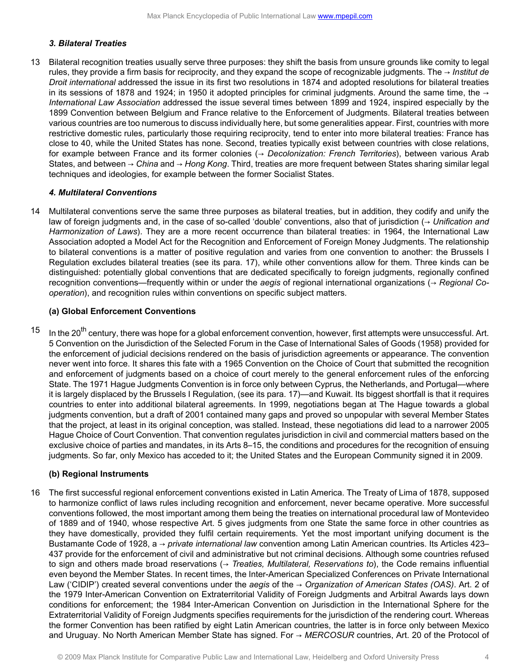### <span id="page-3-0"></span>*3. Bilateral Treaties*

13 Bilateral recognition treaties usually serve three purposes: they shift the basis from unsure grounds like comity to legal rules, they provide a firm basis for reciprocity, and they expand the scope of recognizable judgments. The → *Institut de Droit international* addressed the issue in its first two resolutions in 1874 and adopted resolutions for bilateral treaties in its sessions of 1878 and 1924; in 1950 it adopted principles for criminal judgments. Around the same time, the  $\rightarrow$ *International Law Association* addressed the issue several times between 1899 and 1924, inspired especially by the 1899 Convention between Belgium and France relative to the Enforcement of Judgments. Bilateral treaties between various countries are too numerous to discuss individually here, but some generalities appear. First, countries with more restrictive domestic rules, particularly those requiring reciprocity, tend to enter into more bilateral treaties: France has close to 40, while the United States has none. Second, treaties typically exist between countries with close relations, for example between France and its former colonies (→ *Decolonization: French Territories*), between various Arab States, and between → *China* and → *Hong Kong*. Third, treaties are more frequent between States sharing similar legal techniques and ideologies, for example between the former Socialist States.

### <span id="page-3-1"></span>*4. Multilateral Conventions*

14 Multilateral conventions serve the same three purposes as bilateral treaties, but in addition, they codify and unify the law of foreign judgments and, in the case of so-called 'double' conventions, also that of jurisdiction (→ *Unification and Harmonization of Laws*). They are a more recent occurrence than bilateral treaties: in 1964, the International Law Association adopted a Model Act for the Recognition and Enforcement of Foreign Money Judgments. The relationship to bilateral conventions is a matter of positive regulation and varies from one convention to another: the Brussels I Regulation excludes bilateral treaties (see its para. 17), while other conventions allow for them. Three kinds can be distinguished: potentially global conventions that are dedicated specifically to foreign judgments, regionally confined recognition conventions—frequently within or under the *aegis* of regional international organizations (→ *Regional Cooperation*), and recognition rules within conventions on specific subject matters.

#### <span id="page-3-2"></span>**(a) Global Enforcement Conventions**

 $15$  In the 20<sup>th</sup> century, there was hope for a global enforcement convention, however, first attempts were unsuccessful. Art. 5 Convention on the Jurisdiction of the Selected Forum in the Case of International Sales of Goods (1958) provided for the enforcement of judicial decisions rendered on the basis of jurisdiction agreements or appearance. The convention never went into force. It shares this fate with a 1965 Convention on the Choice of Court that submitted the recognition and enforcement of judgments based on a choice of court merely to the general enforcement rules of the enforcing State. The 1971 Hague Judgments Convention is in force only between Cyprus, the Netherlands, and Portugal—where it is largely displaced by the Brussels I Regulation, (see its para. 17)—and Kuwait. Its biggest shortfall is that it requires countries to enter into additional bilateral agreements. In 1999, negotiations began at The Hague towards a global judgments convention, but a draft of 2001 contained many gaps and proved so unpopular with several Member States that the project, at least in its original conception, was stalled. Instead, these negotiations did lead to a narrower 2005 Hague Choice of Court Convention. That convention regulates jurisdiction in civil and commercial matters based on the exclusive choice of parties and mandates, in its Arts 8–15, the conditions and procedures for the recognition of ensuing judgments. So far, only Mexico has acceded to it; the United States and the European Community signed it in 2009.

### <span id="page-3-3"></span>**(b) Regional Instruments**

16 The first successful regional enforcement conventions existed in Latin America. The Treaty of Lima of 1878, supposed to harmonize conflict of laws rules including recognition and enforcement, never became operative. More successful conventions followed, the most important among them being the treaties on international procedural law of Montevideo of 1889 and of 1940, whose respective Art. 5 gives judgments from one State the same force in other countries as they have domestically, provided they fulfil certain requirements. Yet the most important unifying document is the Bustamante Code of 1928, a → *private international law* convention among Latin American countries. Its Articles 423– 437 provide for the enforcement of civil and administrative but not criminal decisions. Although some countries refused to sign and others made broad reservations (→ *Treaties, Multilateral, Reservations to*), the Code remains influential even beyond the Member States. In recent times, the Inter-American Specialized Conferences on Private International Law ('CIDIP') created several conventions under the *aegis* of the → *Organization of American States (OAS)*. Art. 2 of the 1979 Inter-American Convention on Extraterritorial Validity of Foreign Judgments and Arbitral Awards lays down conditions for enforcement; the 1984 Inter-American Convention on Jurisdiction in the International Sphere for the Extraterritorial Validity of Foreign Judgments specifies requirements for the jurisdiction of the rendering court. Whereas the former Convention has been ratified by eight Latin American countries, the latter is in force only between Mexico and Uruguay. No North American Member State has signed. For → *MERCOSUR* countries, Art. 20 of the Protocol of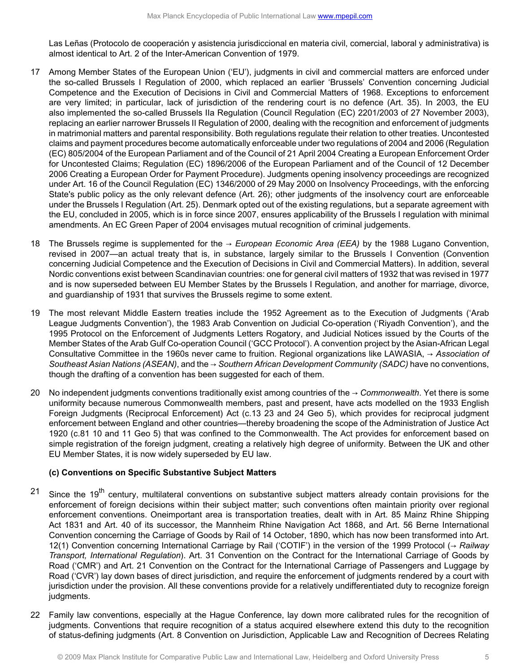Las Leñas (Protocolo de cooperación y asistencia jurisdiccional en materia civil, comercial, laboral y administrativa) is almost identical to Art. 2 of the Inter-American Convention of 1979.

- 17 Among Member States of the European Union ('EU'), judgments in civil and commercial matters are enforced under the so-called Brussels I Regulation of 2000, which replaced an earlier 'Brussels' Convention concerning Judicial Competence and the Execution of Decisions in Civil and Commercial Matters of 1968. Exceptions to enforcement are very limited; in particular, lack of jurisdiction of the rendering court is no defence (Art. 35). In 2003, the EU also implemented the so-called Brussels IIa Regulation (Council Regulation (EC) 2201/2003 of 27 November 2003), replacing an earlier narrower Brussels II Regulation of 2000, dealing with the recognition and enforcement of judgments in matrimonial matters and parental responsibility. Both regulations regulate their relation to other treaties. Uncontested claims and payment procedures become automatically enforceable under two regulations of 2004 and 2006 (Regulation (EC) 805/2004 of the European Parliament and of the Council of 21 April 2004 Creating a European Enforcement Order for Uncontested Claims; Regulation (EC) 1896/2006 of the European Parliament and of the Council of 12 December 2006 Creating a European Order for Payment Procedure). Judgments opening insolvency proceedings are recognized under Art. 16 of the Council Regulation (EC) 1346/2000 of 29 May 2000 on Insolvency Proceedings, with the enforcing State's public policy as the only relevant defence (Art. 26); other judgments of the insolvency court are enforceable under the Brussels I Regulation (Art. 25). Denmark opted out of the existing regulations, but a separate agreement with the EU, concluded in 2005, which is in force since 2007, ensures applicability of the Brussels I regulation with minimal amendments. An EC Green Paper of 2004 envisages mutual recognition of criminal judgements.
- 18 The Brussels regime is supplemented for the → *European Economic Area (EEA)* by the 1988 Lugano Convention, revised in 2007—an actual treaty that is, in substance, largely similar to the Brussels I Convention (Convention concerning Judicial Competence and the Execution of Decisions in Civil and Commercial Matters). In addition, several Nordic conventions exist between Scandinavian countries: one for general civil matters of 1932 that was revised in 1977 and is now superseded between EU Member States by the Brussels I Regulation, and another for marriage, divorce, and guardianship of 1931 that survives the Brussels regime to some extent.
- 19 The most relevant Middle Eastern treaties include the 1952 Agreement as to the Execution of Judgments ('Arab League Judgments Convention'), the 1983 Arab Convention on Judicial Co-operation ('Riyadh Convention'), and the 1995 Protocol on the Enforcement of Judgments Letters Rogatory, and Judicial Notices issued by the Courts of the Member States of the Arab Gulf Co-operation Council ('GCC Protocol'). A convention project by the Asian-African Legal Consultative Committee in the 1960s never came to fruition. Regional organizations like LAWASIA, → *Association of Southeast Asian Nations (ASEAN)*, and the → *Southern African Development Community (SADC)* have no conventions, though the drafting of a convention has been suggested for each of them.
- 20 No independent judgments conventions traditionally exist among countries of the → *Commonwealth*. Yet there is some uniformity because numerous Commonwealth members, past and present, have acts modelled on the 1933 English Foreign Judgments (Reciprocal Enforcement) Act (c.13 23 and 24 Geo 5), which provides for reciprocal judgment enforcement between England and other countries—thereby broadening the scope of the Administration of Justice Act 1920 (c.81 10 and 11 Geo 5) that was confined to the Commonwealth. The Act provides for enforcement based on simple registration of the foreign judgment, creating a relatively high degree of uniformity. Between the UK and other EU Member States, it is now widely superseded by EU law.

# <span id="page-4-0"></span>**(c) Conventions on Specific Substantive Subject Matters**

- $21$  Since the 19<sup>th</sup> century, multilateral conventions on substantive subject matters already contain provisions for the enforcement of foreign decisions within their subject matter; such conventions often maintain priority over regional enforcement conventions. Oneimportant area is transportation treaties, dealt with in Art. 85 Mainz Rhine Shipping Act 1831 and Art. 40 of its successor, the Mannheim Rhine Navigation Act 1868, and Art. 56 Berne International Convention concerning the Carriage of Goods by Rail of 14 October, 1890, which has now been transformed into Art. 12(1) Convention concerning International Carriage by Rail ('COTIF') in the version of the 1999 Protocol (→ *Railway Transport, International Regulation*). Art. 31 Convention on the Contract for the International Carriage of Goods by Road ('CMR') and Art. 21 Convention on the Contract for the International Carriage of Passengers and Luggage by Road ('CVR') lay down bases of direct jurisdiction, and require the enforcement of judgments rendered by a court with jurisdiction under the provision. All these conventions provide for a relatively undifferentiated duty to recognize foreign judgments.
- 22 Family law conventions, especially at the Hague Conference, lay down more calibrated rules for the recognition of judgments. Conventions that require recognition of a status acquired elsewhere extend this duty to the recognition of status-defining judgments (Art. 8 Convention on Jurisdiction, Applicable Law and Recognition of Decrees Relating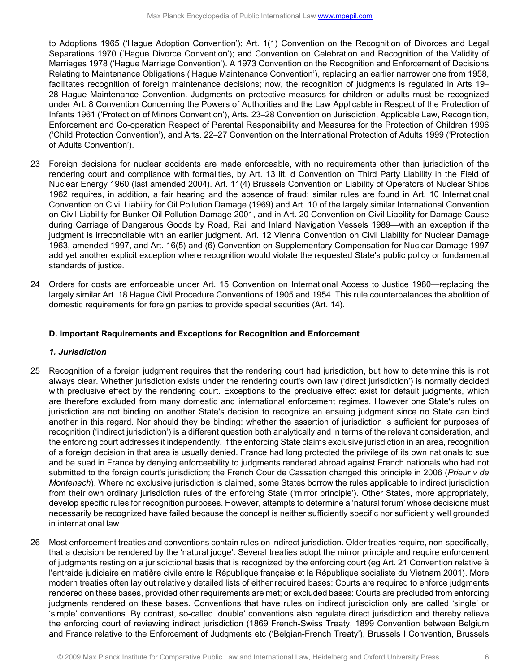to Adoptions 1965 ('Hague Adoption Convention'); Art. 1(1) Convention on the Recognition of Divorces and Legal Separations 1970 ('Hague Divorce Convention'); and Convention on Celebration and Recognition of the Validity of Marriages 1978 ('Hague Marriage Convention'). A 1973 Convention on the Recognition and Enforcement of Decisions Relating to Maintenance Obligations ('Hague Maintenance Convention'), replacing an earlier narrower one from 1958, facilitates recognition of foreign maintenance decisions; now, the recognition of judgments is regulated in Arts 19– 28 Hague Maintenance Convention. Judgments on protective measures for children or adults must be recognized under Art. 8 Convention Concerning the Powers of Authorities and the Law Applicable in Respect of the Protection of Infants 1961 ('Protection of Minors Convention'), Arts. 23–28 Convention on Jurisdiction, Applicable Law, Recognition, Enforcement and Co-operation Respect of Parental Responsibility and Measures for the Protection of Children 1996 ('Child Protection Convention'), and Arts. 22–27 Convention on the International Protection of Adults 1999 ('Protection of Adults Convention').

- 23 Foreign decisions for nuclear accidents are made enforceable, with no requirements other than jurisdiction of the rendering court and compliance with formalities, by Art. 13 lit. d Convention on Third Party Liability in the Field of Nuclear Energy 1960 (last amended 2004). Art. 11(4) Brussels Convention on Liability of Operators of Nuclear Ships 1962 requires, in addition, a fair hearing and the absence of fraud; similar rules are found in Art. 10 International Convention on Civil Liability for Oil Pollution Damage (1969) and Art. 10 of the largely similar International Convention on Civil Liability for Bunker Oil Pollution Damage 2001, and in Art. 20 Convention on Civil Liability for Damage Cause during Carriage of Dangerous Goods by Road, Rail and Inland Navigation Vessels 1989—with an exception if the judgment is irreconcilable with an earlier judgment. Art. 12 Vienna Convention on Civil Liability for Nuclear Damage 1963, amended 1997, and Art. 16(5) and (6) Convention on Supplementary Compensation for Nuclear Damage 1997 add yet another explicit exception where recognition would violate the requested State's public policy or fundamental standards of justice.
- 24 Orders for costs are enforceable under Art. 15 Convention on International Access to Justice 1980—replacing the largely similar Art. 18 Hague Civil Procedure Conventions of 1905 and 1954. This rule counterbalances the abolition of domestic requirements for foreign parties to provide special securities (Art. 14).

### <span id="page-5-0"></span>**D. Important Requirements and Exceptions for Recognition and Enforcement**

### *1. Jurisdiction*

- <span id="page-5-1"></span>25 Recognition of a foreign judgment requires that the rendering court had jurisdiction, but how to determine this is not always clear. Whether jurisdiction exists under the rendering court's own law ('direct jurisdiction') is normally decided with preclusive effect by the rendering court. Exceptions to the preclusive effect exist for default judgments, which are therefore excluded from many domestic and international enforcement regimes. However one State's rules on jurisdiction are not binding on another State's decision to recognize an ensuing judgment since no State can bind another in this regard. Nor should they be binding: whether the assertion of jurisdiction is sufficient for purposes of recognition ('indirect jurisdiction') is a different question both analytically and in terms of the relevant consideration, and the enforcing court addresses it independently. If the enforcing State claims exclusive jurisdiction in an area, recognition of a foreign decision in that area is usually denied. France had long protected the privilege of its own nationals to sue and be sued in France by denying enforceability to judgments rendered abroad against French nationals who had not submitted to the foreign court's jurisdiction; the French Cour de Cassation changed this principle in 2006 (*Prieur v de Montenach*). Where no exclusive jurisdiction is claimed, some States borrow the rules applicable to indirect jurisdiction from their own ordinary jurisdiction rules of the enforcing State ('mirror principle'). Other States, more appropriately, develop specific rules for recognition purposes. However, attempts to determine a 'natural forum' whose decisions must necessarily be recognized have failed because the concept is neither sufficiently specific nor sufficiently well grounded in international law.
- 26 Most enforcement treaties and conventions contain rules on indirect jurisdiction. Older treaties require, non-specifically, that a decision be rendered by the 'natural judge'. Several treaties adopt the mirror principle and require enforcement of judgments resting on a jurisdictional basis that is recognized by the enforcing court (eg Art. 21 Convention relative à l'entraide judiciaire en matière civile entre la République française et la République socialiste du Vietnam 2001). More modern treaties often lay out relatively detailed lists of either required bases: Courts are required to enforce judgments rendered on these bases, provided other requirements are met; or excluded bases: Courts are precluded from enforcing judgments rendered on these bases. Conventions that have rules on indirect jurisdiction only are called 'single' or 'simple' conventions. By contrast, so-called 'double' conventions also regulate direct jurisdiction and thereby relieve the enforcing court of reviewing indirect jurisdiction (1869 French-Swiss Treaty, 1899 Convention between Belgium and France relative to the Enforcement of Judgments etc ('Belgian-French Treaty'), Brussels I Convention, Brussels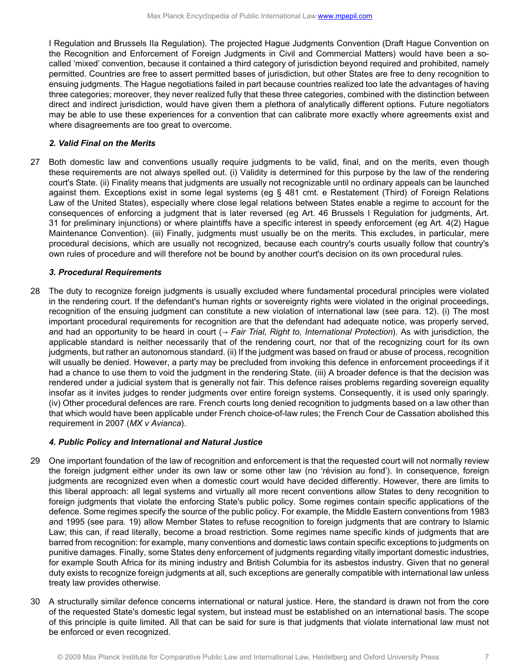I Regulation and Brussels IIa Regulation). The projected Hague Judgments Convention (Draft Hague Convention on the Recognition and Enforcement of Foreign Judgments in Civil and Commercial Matters) would have been a socalled 'mixed' convention, because it contained a third category of jurisdiction beyond required and prohibited, namely permitted. Countries are free to assert permitted bases of jurisdiction, but other States are free to deny recognition to ensuing judgments. The Hague negotiations failed in part because countries realized too late the advantages of having three categories; moreover, they never realized fully that these three categories, combined with the distinction between direct and indirect jurisdiction, would have given them a plethora of analytically different options. Future negotiators may be able to use these experiences for a convention that can calibrate more exactly where agreements exist and where disagreements are too great to overcome.

## *2. Valid Final on the Merits*

<span id="page-6-0"></span>27 Both domestic law and conventions usually require judgments to be valid, final, and on the merits, even though these requirements are not always spelled out. (i) Validity is determined for this purpose by the law of the rendering court's State. (ii) Finality means that judgments are usually not recognizable until no ordinary appeals can be launched against them. Exceptions exist in some legal systems (eg § 481 cmt. e Restatement (Third) of Foreign Relations Law of the United States), especially where close legal relations between States enable a regime to account for the consequences of enforcing a judgment that is later reversed (eg Art. 46 Brussels I Regulation for judgments, Art. 31 for preliminary injunctions) or where plaintiffs have a specific interest in speedy enforcement (eg Art. 4(2) Hague Maintenance Convention). (iii) Finally, judgments must usually be on the merits. This excludes, in particular, mere procedural decisions, which are usually not recognized, because each country's courts usually follow that country's own rules of procedure and will therefore not be bound by another court's decision on its own procedural rules.

## <span id="page-6-1"></span>*3. Procedural Requirements*

28 The duty to recognize foreign judgments is usually excluded where fundamental procedural principles were violated in the rendering court. If the defendant's human rights or sovereignty rights were violated in the original proceedings, recognition of the ensuing judgment can constitute a new violation of international law (see para. 12). (i) The most important procedural requirements for recognition are that the defendant had adequate notice, was properly served, and had an opportunity to be heard in court (→ *Fair Trial, Right to, International Protection*). As with jurisdiction, the applicable standard is neither necessarily that of the rendering court, nor that of the recognizing court for its own judgments, but rather an autonomous standard. (ii) If the judgment was based on fraud or abuse of process, recognition will usually be denied. However, a party may be precluded from invoking this defence in enforcement proceedings if it had a chance to use them to void the judgment in the rendering State. (iii) A broader defence is that the decision was rendered under a judicial system that is generally not fair. This defence raises problems regarding sovereign equality insofar as it invites judges to render judgments over entire foreign systems. Consequently, it is used only sparingly. (iv) Other procedural defences are rare. French courts long denied recognition to judgments based on a law other than that which would have been applicable under French choice-of-law rules; the French Cour de Cassation abolished this requirement in 2007 (*MX v Avianca*).

### <span id="page-6-2"></span>*4. Public Policy and International and Natural Justice*

- 29 One important foundation of the law of recognition and enforcement is that the requested court will not normally review the foreign judgment either under its own law or some other law (no 'révision au fond'). In consequence, foreign judgments are recognized even when a domestic court would have decided differently. However, there are limits to this liberal approach: all legal systems and virtually all more recent conventions allow States to deny recognition to foreign judgments that violate the enforcing State's public policy. Some regimes contain specific applications of the defence. Some regimes specify the source of the public policy. For example, the Middle Eastern conventions from 1983 and 1995 (see para. 19) allow Member States to refuse recognition to foreign judgments that are contrary to Islamic Law; this can, if read literally, become a broad restriction. Some regimes name specific kinds of judgments that are barred from recognition: for example, many conventions and domestic laws contain specific exceptions to judgments on punitive damages. Finally, some States deny enforcement of judgments regarding vitally important domestic industries, for example South Africa for its mining industry and British Columbia for its asbestos industry. Given that no general duty exists to recognize foreign judgments at all, such exceptions are generally compatible with international law unless treaty law provides otherwise.
- 30 A structurally similar defence concerns international or natural justice. Here, the standard is drawn not from the core of the requested State's domestic legal system, but instead must be established on an international basis. The scope of this principle is quite limited. All that can be said for sure is that judgments that violate international law must not be enforced or even recognized.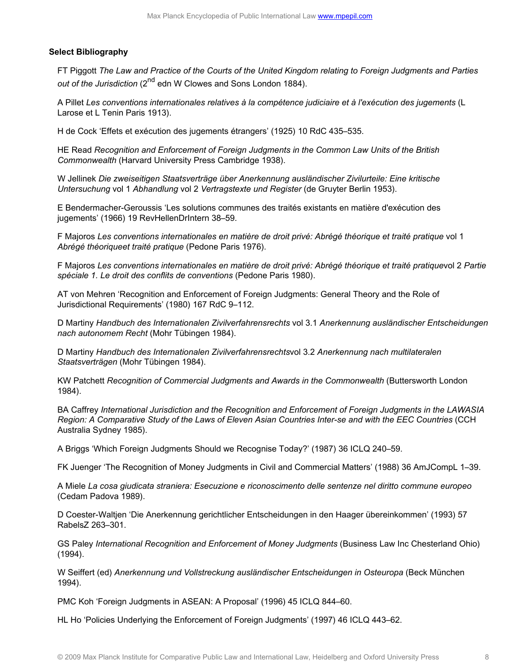### <span id="page-7-0"></span>**Select Bibliography**

FT Piggott *The Law and Practice of the Courts of the United Kingdom relating to Foreign Judgments and Parties* out of the Jurisdiction (2<sup>nd</sup> edn W Clowes and Sons London 1884).

A Pillet *Les conventions internationales relatives à la compétence judiciaire et à l'exécution des jugements* (L Larose et L Tenin Paris 1913).

H de Cock 'Effets et exécution des jugements étrangers' (1925) 10 RdC 435–535.

HE Read *Recognition and Enforcement of Foreign Judgments in the Common Law Units of the British Commonwealth* (Harvard University Press Cambridge 1938).

W Jellinek *Die zweiseitigen Staatsverträge über Anerkennung ausländischer Zivilurteile: Eine kritische Untersuchung* vol 1 *Abhandlung* vol 2 *Vertragstexte und Register* (de Gruyter Berlin 1953).

E Bendermacher-Geroussis 'Les solutions communes des traités existants en matière d'exécution des jugements' (1966) 19 RevHellenDrIntern 38–59.

F Majoros *Les conventions internationales en matière de droit privé: Abrégé théorique et traité pratique* vol 1 *Abrégé théoriqueet traité pratique* (Pedone Paris 1976).

F Majoros *Les conventions internationales en matière de droit privé: Abrégé théorique et traité pratique*vol 2 *Partie spéciale 1. Le droit des conflits de conventions* (Pedone Paris 1980).

AT von Mehren 'Recognition and Enforcement of Foreign Judgments: General Theory and the Role of Jurisdictional Requirements' (1980) 167 RdC 9–112.

D Martiny *Handbuch des Internationalen Zivilverfahrensrechts* vol 3.1 *Anerkennung ausländischer Entscheidungen nach autonomem Recht* (Mohr Tübingen 1984).

D Martiny *Handbuch des Internationalen Zivilverfahrensrechts*vol 3.2 *Anerkennung nach multilateralen Staatsverträgen* (Mohr Tübingen 1984).

KW Patchett *Recognition of Commercial Judgments and Awards in the Commonwealth* (Buttersworth London 1984).

BA Caffrey *International Jurisdiction and the Recognition and Enforcement of Foreign Judgments in the LAWASIA Region: A Comparative Study of the Laws of Eleven Asian Countries Inter-se and with the EEC Countries* (CCH Australia Sydney 1985).

A Briggs 'Which Foreign Judgments Should we Recognise Today?' (1987) 36 ICLQ 240–59.

FK Juenger 'The Recognition of Money Judgments in Civil and Commercial Matters' (1988) 36 AmJCompL 1–39.

A Miele *La cosa giudicata straniera: Esecuzione e riconoscimento delle sentenze nel diritto commune europeo* (Cedam Padova 1989).

D Coester-Waltjen 'Die Anerkennung gerichtlicher Entscheidungen in den Haager übereinkommen' (1993) 57 RabelsZ 263–301.

GS Paley *International Recognition and Enforcement of Money Judgments* (Business Law Inc Chesterland Ohio) (1994).

W Seiffert (ed) *Anerkennung und Vollstreckung ausländischer Entscheidungen in Osteuropa* (Beck München 1994).

PMC Koh 'Foreign Judgments in ASEAN: A Proposal' (1996) 45 ICLQ 844–60.

HL Ho 'Policies Underlying the Enforcement of Foreign Judgments' (1997) 46 ICLQ 443–62.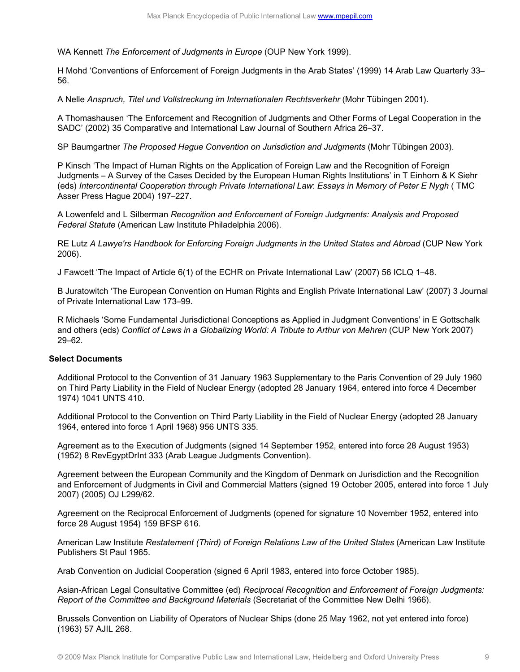WA Kennett *The Enforcement of Judgments in Europe* (OUP New York 1999).

H Mohd 'Conventions of Enforcement of Foreign Judgments in the Arab States' (1999) 14 Arab Law Quarterly 33– 56.

A Nelle *Anspruch, Titel und Vollstreckung im Internationalen Rechtsverkehr* (Mohr Tübingen 2001).

A Thomashausen 'The Enforcement and Recognition of Judgments and Other Forms of Legal Cooperation in the SADC' (2002) 35 Comparative and International Law Journal of Southern Africa 26–37.

SP Baumgartner *The Proposed Hague Convention on Jurisdiction and Judgments* (Mohr Tübingen 2003).

P Kinsch 'The Impact of Human Rights on the Application of Foreign Law and the Recognition of Foreign Judgments – A Survey of the Cases Decided by the European Human Rights Institutions' in T Einhorn & K Siehr (eds) *Intercontinental Cooperation through Private International Law*: *Essays in Memory of Peter E Nygh* ( TMC Asser Press Hague 2004) 197–227.

A Lowenfeld and L Silberman *Recognition and Enforcement of Foreign Judgments: Analysis and Proposed Federal Statute* (American Law Institute Philadelphia 2006).

RE Lutz *A Lawye'rs Handbook for Enforcing Foreign Judgments in the United States and Abroad* (CUP New York 2006).

J Fawcett 'The Impact of Article 6(1) of the ECHR on Private International Law' (2007) 56 ICLQ 1–48.

B Juratowitch 'The European Convention on Human Rights and English Private International Law' (2007) 3 Journal of Private International Law 173–99.

R Michaels 'Some Fundamental Jurisdictional Conceptions as Applied in Judgment Conventions' in E Gottschalk and others (eds) *Conflict of Laws in a Globalizing World: A Tribute to Arthur von Mehren* (CUP New York 2007) 29–62.

## <span id="page-8-0"></span>**Select Documents**

Additional Protocol to the Convention of 31 January 1963 Supplementary to the Paris Convention of 29 July 1960 on Third Party Liability in the Field of Nuclear Energy (adopted 28 January 1964, entered into force 4 December 1974) 1041 UNTS 410.

Additional Protocol to the Convention on Third Party Liability in the Field of Nuclear Energy (adopted 28 January 1964, entered into force 1 April 1968) 956 UNTS 335.

Agreement as to the Execution of Judgments (signed 14 September 1952, entered into force 28 August 1953) (1952) 8 RevEgyptDrInt 333 (Arab League Judgments Convention).

Agreement between the European Community and the Kingdom of Denmark on Jurisdiction and the Recognition and Enforcement of Judgments in Civil and Commercial Matters (signed 19 October 2005, entered into force 1 July 2007) (2005) OJ L299/62.

Agreement on the Reciprocal Enforcement of Judgments (opened for signature 10 November 1952, entered into force 28 August 1954) 159 BFSP 616.

American Law Institute *Restatement (Third) of Foreign Relations Law of the United States* (American Law Institute Publishers St Paul 1965.

Arab Convention on Judicial Cooperation (signed 6 April 1983, entered into force October 1985).

Asian-African Legal Consultative Committee (ed) *Reciprocal Recognition and Enforcement of Foreign Judgments: Report of the Committee and Background Materials* (Secretariat of the Committee New Delhi 1966).

Brussels Convention on Liability of Operators of Nuclear Ships (done 25 May 1962, not yet entered into force) (1963) 57 AJIL 268.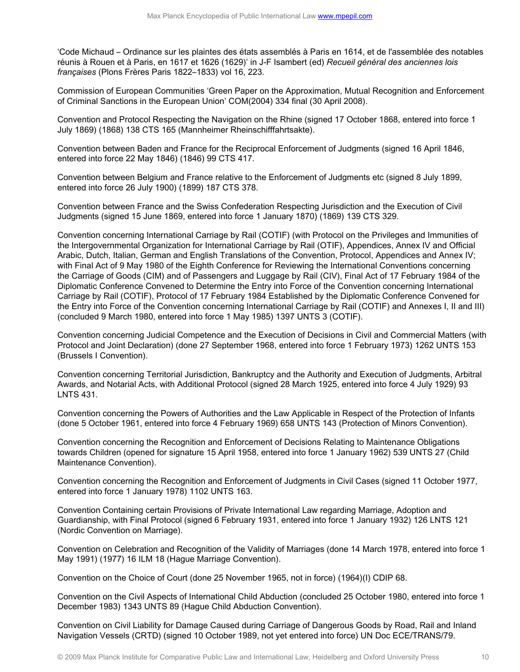'Code Michaud – Ordinance sur les plaintes des états assemblés à Paris en 1614, et de l'assemblée des notables réunis à Rouen et à Paris, en 1617 et 1626 (1629)' in J-F Isambert (ed) *Recueil général des anciennes lois françaises* (Plons Frères Paris 1822–1833) vol 16, 223.

Commission of European Communities 'Green Paper on the Approximation, Mutual Recognition and Enforcement of Criminal Sanctions in the European Union' COM(2004) 334 final (30 April 2008).

Convention and Protocol Respecting the Navigation on the Rhine (signed 17 October 1868, entered into force 1 July 1869) (1868) 138 CTS 165 (Mannheimer Rheinschifffahrtsakte).

Convention between Baden and France for the Reciprocal Enforcement of Judgments (signed 16 April 1846, entered into force 22 May 1846) (1846) 99 CTS 417.

Convention between Belgium and France relative to the Enforcement of Judgments etc (signed 8 July 1899, entered into force 26 July 1900) (1899) 187 CTS 378.

Convention between France and the Swiss Confederation Respecting Jurisdiction and the Execution of Civil Judgments (signed 15 June 1869, entered into force 1 January 1870) (1869) 139 CTS 329.

Convention concerning International Carriage by Rail (COTIF) (with Protocol on the Privileges and Immunities of the Intergovernmental Organization for International Carriage by Rail (OTIF), Appendices, Annex IV and Official Arabic, Dutch, Italian, German and English Translations of the Convention, Protocol, Appendices and Annex IV; with Final Act of 9 May 1980 of the Eighth Conference for Reviewing the International Conventions concerning the Carriage of Goods (CIM) and of Passengers and Luggage by Rail (CIV), Final Act of 17 February 1984 of the Diplomatic Conference Convened to Determine the Entry into Force of the Convention concerning International Carriage by Rail (COTIF), Protocol of 17 February 1984 Established by the Diplomatic Conference Convened for the Entry into Force of the Convention concerning International Carriage by Rail (COTIF) and Annexes I, II and III) (concluded 9 March 1980, entered into force 1 May 1985) 1397 UNTS 3 (COTIF).

Convention concerning Judicial Competence and the Execution of Decisions in Civil and Commercial Matters (with Protocol and Joint Declaration) (done 27 September 1968, entered into force 1 February 1973) 1262 UNTS 153 (Brussels I Convention).

Convention concerning Territorial Jurisdiction, Bankruptcy and the Authority and Execution of Judgments, Arbitral Awards, and Notarial Acts, with Additional Protocol (signed 28 March 1925, entered into force 4 July 1929) 93 LNTS 431.

Convention concerning the Powers of Authorities and the Law Applicable in Respect of the Protection of Infants (done 5 October 1961, entered into force 4 February 1969) 658 UNTS 143 (Protection of Minors Convention).

Convention concerning the Recognition and Enforcement of Decisions Relating to Maintenance Obligations towards Children (opened for signature 15 April 1958, entered into force 1 January 1962) 539 UNTS 27 (Child Maintenance Convention).

Convention concerning the Recognition and Enforcement of Judgments in Civil Cases (signed 11 October 1977, entered into force 1 January 1978) 1102 UNTS 163.

Convention Containing certain Provisions of Private International Law regarding Marriage, Adoption and Guardianship, with Final Protocol (signed 6 February 1931, entered into force 1 January 1932) 126 LNTS 121 (Nordic Convention on Marriage).

Convention on Celebration and Recognition of the Validity of Marriages (done 14 March 1978, entered into force 1 May 1991) (1977) 16 ILM 18 (Hague Marriage Convention).

Convention on the Choice of Court (done 25 November 1965, not in force) (1964)(I) CDIP 68.

Convention on the Civil Aspects of International Child Abduction (concluded 25 October 1980, entered into force 1 December 1983) 1343 UNTS 89 (Hague Child Abduction Convention).

Convention on Civil Liability for Damage Caused during Carriage of Dangerous Goods by Road, Rail and Inland Navigation Vessels (CRTD) (signed 10 October 1989, not yet entered into force) UN Doc ECE/TRANS/79.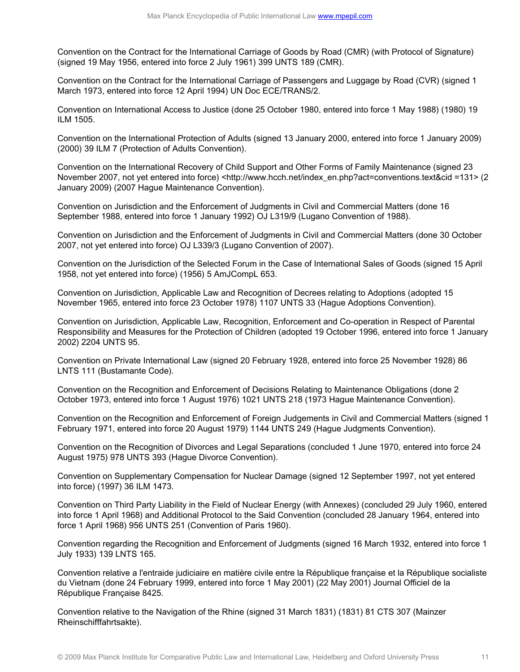Convention on the Contract for the International Carriage of Goods by Road (CMR) (with Protocol of Signature) (signed 19 May 1956, entered into force 2 July 1961) 399 UNTS 189 (CMR).

Convention on the Contract for the International Carriage of Passengers and Luggage by Road (CVR) (signed 1 March 1973, entered into force 12 April 1994) UN Doc ECE/TRANS/2.

Convention on International Access to Justice (done 25 October 1980, entered into force 1 May 1988) (1980) 19 ILM 1505.

Convention on the International Protection of Adults (signed 13 January 2000, entered into force 1 January 2009) (2000) 39 ILM 7 (Protection of Adults Convention).

Convention on the International Recovery of Child Support and Other Forms of Family Maintenance (signed 23 November 2007, not yet entered into force) <http://www.hcch.net/index\_en.php?act=conventions.text&cid =131> (2 January 2009) (2007 Hague Maintenance Convention).

Convention on Jurisdiction and the Enforcement of Judgments in Civil and Commercial Matters (done 16 September 1988, entered into force 1 January 1992) OJ L319/9 (Lugano Convention of 1988).

Convention on Jurisdiction and the Enforcement of Judgments in Civil and Commercial Matters (done 30 October 2007, not yet entered into force) OJ L339/3 (Lugano Convention of 2007).

Convention on the Jurisdiction of the Selected Forum in the Case of International Sales of Goods (signed 15 April 1958, not yet entered into force) (1956) 5 AmJCompL 653.

Convention on Jurisdiction, Applicable Law and Recognition of Decrees relating to Adoptions (adopted 15 November 1965, entered into force 23 October 1978) 1107 UNTS 33 (Hague Adoptions Convention).

Convention on Jurisdiction, Applicable Law, Recognition, Enforcement and Co-operation in Respect of Parental Responsibility and Measures for the Protection of Children (adopted 19 October 1996, entered into force 1 January 2002) 2204 UNTS 95.

Convention on Private International Law (signed 20 February 1928, entered into force 25 November 1928) 86 LNTS 111 (Bustamante Code).

Convention on the Recognition and Enforcement of Decisions Relating to Maintenance Obligations (done 2 October 1973, entered into force 1 August 1976) 1021 UNTS 218 (1973 Hague Maintenance Convention).

Convention on the Recognition and Enforcement of Foreign Judgements in Civil and Commercial Matters (signed 1 February 1971, entered into force 20 August 1979) 1144 UNTS 249 (Hague Judgments Convention).

Convention on the Recognition of Divorces and Legal Separations (concluded 1 June 1970, entered into force 24 August 1975) 978 UNTS 393 (Hague Divorce Convention).

Convention on Supplementary Compensation for Nuclear Damage (signed 12 September 1997, not yet entered into force) (1997) 36 ILM 1473.

Convention on Third Party Liability in the Field of Nuclear Energy (with Annexes) (concluded 29 July 1960, entered into force 1 April 1968) and Additional Protocol to the Said Convention (concluded 28 January 1964, entered into force 1 April 1968) 956 UNTS 251 (Convention of Paris 1960).

Convention regarding the Recognition and Enforcement of Judgments (signed 16 March 1932, entered into force 1 July 1933) 139 LNTS 165.

Convention relative a l'entraide judiciaire en matière civile entre la République française et la République socialiste du Vietnam (done 24 February 1999, entered into force 1 May 2001) (22 May 2001) Journal Officiel de la République Française 8425.

Convention relative to the Navigation of the Rhine (signed 31 March 1831) (1831) 81 CTS 307 (Mainzer Rheinschifffahrtsakte).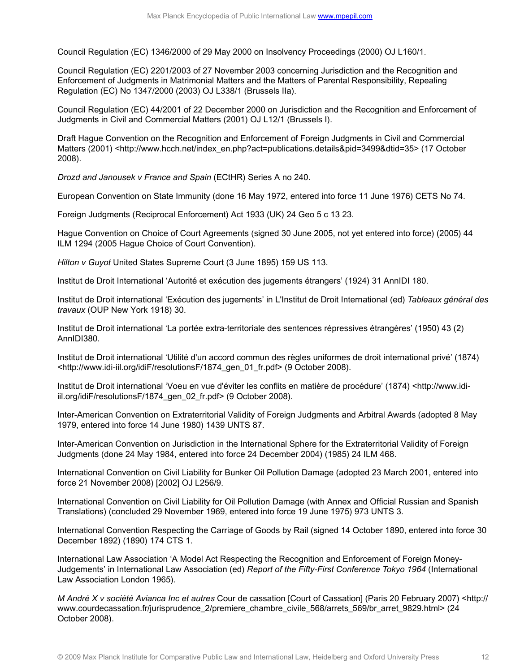Council Regulation (EC) 1346/2000 of 29 May 2000 on Insolvency Proceedings (2000) OJ L160/1.

Council Regulation (EC) 2201/2003 of 27 November 2003 concerning Jurisdiction and the Recognition and Enforcement of Judgments in Matrimonial Matters and the Matters of Parental Responsibility, Repealing Regulation (EC) No 1347/2000 (2003) OJ L338/1 (Brussels IIa).

Council Regulation (EC) 44/2001 of 22 December 2000 on Jurisdiction and the Recognition and Enforcement of Judgments in Civil and Commercial Matters (2001) OJ L12/1 (Brussels I).

Draft Hague Convention on the Recognition and Enforcement of Foreign Judgments in Civil and Commercial Matters (2001) <http://www.hcch.net/index\_en.php?act=publications.details&pid=3499&dtid=35> (17 October 2008).

*Drozd and Janousek v France and Spain* (ECtHR) Series A no 240.

European Convention on State Immunity (done 16 May 1972, entered into force 11 June 1976) CETS No 74.

Foreign Judgments (Reciprocal Enforcement) Act 1933 (UK) 24 Geo 5 c 13 23.

Hague Convention on Choice of Court Agreements (signed 30 June 2005, not yet entered into force) (2005) 44 ILM 1294 (2005 Hague Choice of Court Convention).

*Hilton v Guyot* United States Supreme Court (3 June 1895) 159 US 113.

Institut de Droit International 'Autorité et exécution des jugements étrangers' (1924) 31 AnnIDI 180.

Institut de Droit international 'Exécution des jugements' in L'Institut de Droit International (ed) *Tableaux général des travaux* (OUP New York 1918) 30.

Institut de Droit international 'La portée extra-territoriale des sentences répressives étrangères' (1950) 43 (2) AnnIDI380.

Institut de Droit international 'Utilité d'un accord commun des règles uniformes de droit international privé' (1874) <http://www.idi-iil.org/idiF/resolutionsF/1874\_gen\_01\_fr.pdf> (9 October 2008).

Institut de Droit international 'Voeu en vue d'éviter les conflits en matière de procédure' (1874) <http://www.idiiil.org/idiF/resolutionsF/1874\_gen\_02\_fr.pdf> (9 October 2008).

Inter-American Convention on Extraterritorial Validity of Foreign Judgments and Arbitral Awards (adopted 8 May 1979, entered into force 14 June 1980) 1439 UNTS 87.

Inter-American Convention on Jurisdiction in the International Sphere for the Extraterritorial Validity of Foreign Judgments (done 24 May 1984, entered into force 24 December 2004) (1985) 24 ILM 468.

International Convention on Civil Liability for Bunker Oil Pollution Damage (adopted 23 March 2001, entered into force 21 November 2008) [2002] OJ L256/9.

International Convention on Civil Liability for Oil Pollution Damage (with Annex and Official Russian and Spanish Translations) (concluded 29 November 1969, entered into force 19 June 1975) 973 UNTS 3.

International Convention Respecting the Carriage of Goods by Rail (signed 14 October 1890, entered into force 30 December 1892) (1890) 174 CTS 1.

International Law Association 'A Model Act Respecting the Recognition and Enforcement of Foreign Money-Judgements' in International Law Association (ed) *Report of the Fifty-First Conference Tokyo 1964* (International Law Association London 1965).

*M André X v société Avianca Inc et autres* Cour de cassation [Court of Cassation] (Paris 20 February 2007) <http:// www.courdecassation.fr/jurisprudence 2/premiere chambre civile 568/arrets 569/br arret 9829.html> (24 October 2008).